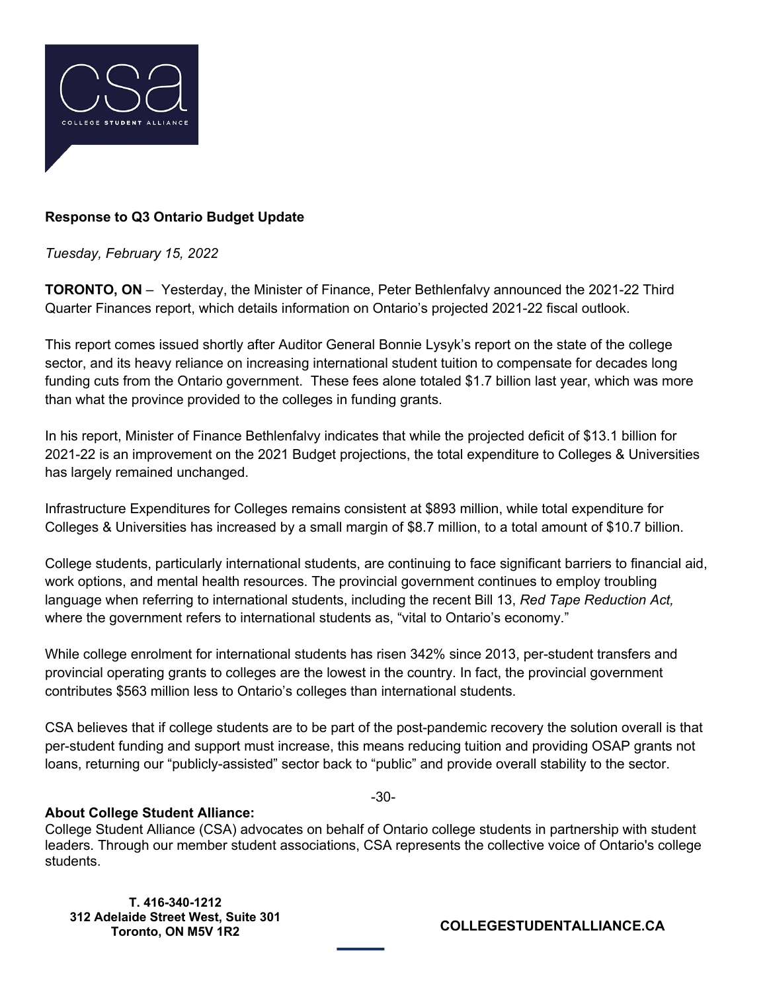

## **Response to Q3 Ontario Budget Update**

## *Tuesday, February 15, 2022*

**TORONTO, ON** – Yesterday, the Minister of Finance, Peter Bethlenfalvy announced the 2021-22 Third Quarter Finances report, which details information on Ontario's projected 2021-22 fiscal outlook.

This report comes issued shortly after Auditor General Bonnie Lysyk's report on the state of the college sector, and its heavy reliance on increasing international student tuition to compensate for decades long funding cuts from the Ontario government. These fees alone totaled \$1.7 billion last year, which was more than what the province provided to the colleges in funding grants.

In his report, Minister of Finance Bethlenfalvy indicates that while the projected deficit of \$13.1 billion for 2021-22 is an improvement on the 2021 Budget projections, the total expenditure to Colleges & Universities has largely remained unchanged.

Infrastructure Expenditures for Colleges remains consistent at \$893 million, while total expenditure for Colleges & Universities has increased by a small margin of \$8.7 million, to a total amount of \$10.7 billion.

College students, particularly international students, are continuing to face significant barriers to financial aid, work options, and mental health resources. The provincial government continues to employ troubling language when referring to international students, including the recent Bill 13, *Red Tape Reduction Act,* where the government refers to international students as, "vital to Ontario's economy."

While college enrolment for international students has risen 342% since 2013, per-student transfers and provincial operating grants to colleges are the lowest in the country. In fact, the provincial government contributes \$563 million less to Ontario's colleges than international students.

CSA believes that if college students are to be part of the post-pandemic recovery the solution overall is that per-student funding and support must increase, this means reducing tuition and providing OSAP grants not loans, returning our "publicly-assisted" sector back to "public" and provide overall stability to the sector.

-30-

## **About College Student Alliance:**

College Student Alliance (CSA) advocates on behalf of Ontario college students in partnership with student leaders. Through our member student associations, CSA represents the collective voice of Ontario's college students.

**T. 416-340-1212 312 Adelaide Street West, Suite 301** 

**Toronto, ON M5V 1R2 COLLEGESTUDENTALLIANCE.CA**